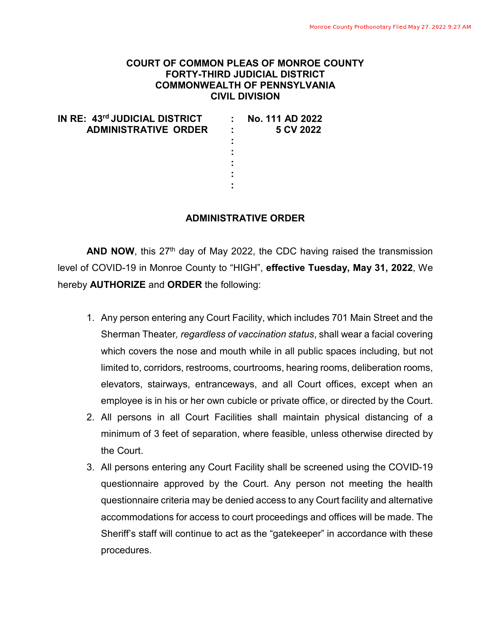## **COURT OF COMMON PLEAS OF MONROE COUNTY FORTY-THIRD JUDICIAL DISTRICT COMMONWEALTH OF PENNSYLVANIA CIVIL DIVISION**

| IN RE: 43rd JUDICIAL DISTRICT |              | No. 111 AD 2022 |
|-------------------------------|--------------|-----------------|
| <b>ADMINISTRATIVE ORDER</b>   | $\mathbf{L}$ | 5 CV 2022       |
|                               |              |                 |
|                               | ٠            |                 |
|                               |              |                 |
|                               |              |                 |
|                               | ٠            |                 |
|                               |              |                 |

## **ADMINISTRATIVE ORDER**

**AND NOW**, this 27<sup>th</sup> day of May 2022, the CDC having raised the transmission level of COVID-19 in Monroe County to "HIGH", **effective Tuesday, May 31, 2022**, We hereby **AUTHORIZE** and **ORDER** the following:

- 1. Any person entering any Court Facility, which includes 701 Main Street and the Sherman Theater*, regardless of vaccination status*, shall wear a facial covering which covers the nose and mouth while in all public spaces including, but not limited to, corridors, restrooms, courtrooms, hearing rooms, deliberation rooms, elevators, stairways, entranceways, and all Court offices, except when an employee is in his or her own cubicle or private office, or directed by the Court.
- 2. All persons in all Court Facilities shall maintain physical distancing of a minimum of 3 feet of separation, where feasible, unless otherwise directed by the Court.
- 3. All persons entering any Court Facility shall be screened using the COVID-19 questionnaire approved by the Court. Any person not meeting the health questionnaire criteria may be denied access to any Court facility and alternative accommodations for access to court proceedings and offices will be made. The Sheriff's staff will continue to act as the "gatekeeper" in accordance with these procedures.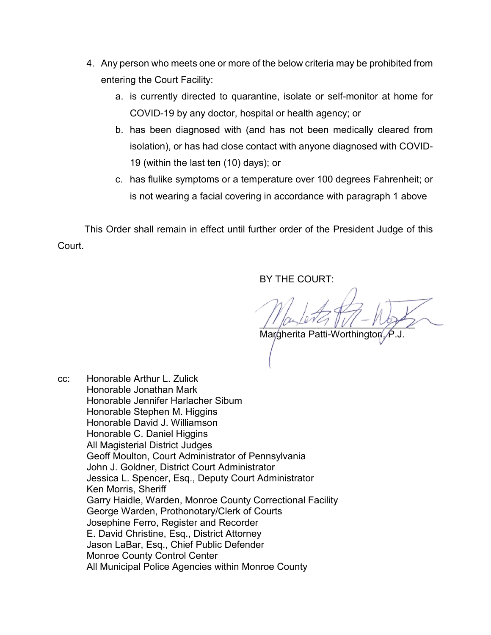- 4. Any person who meets one or more of the below criteria may be prohibited from entering the Court Facility:
	- a. is currently directed to quarantine, isolate or self-monitor at home for COVID-19 by any doctor, hospital or health agency; or
	- b. has been diagnosed with (and has not been medically cleared from isolation), or has had close contact with anyone diagnosed with COVID-19 (within the last ten (10) days); or
	- c. has flulike symptoms or a temperature over 100 degrees Fahrenheit; or is not wearing a facial covering in accordance with paragraph 1 above

 This Order shall remain in effect until further order of the President Judge of this Court.

BY THE COURT:

 $\int$ 

Margherita Patti-Worthingto

cc: Honorable Arthur L. Zulick Honorable Jonathan Mark Honorable Jennifer Harlacher Sibum Honorable Stephen M. Higgins Honorable David J. Williamson Honorable C. Daniel Higgins All Magisterial District Judges Geoff Moulton, Court Administrator of Pennsylvania John J. Goldner, District Court Administrator Jessica L. Spencer, Esq., Deputy Court Administrator Ken Morris, Sheriff Garry Haidle, Warden, Monroe County Correctional Facility George Warden, Prothonotary/Clerk of Courts Josephine Ferro, Register and Recorder E. David Christine, Esq., District Attorney Jason LaBar, Esq., Chief Public Defender Monroe County Control Center All Municipal Police Agencies within Monroe County